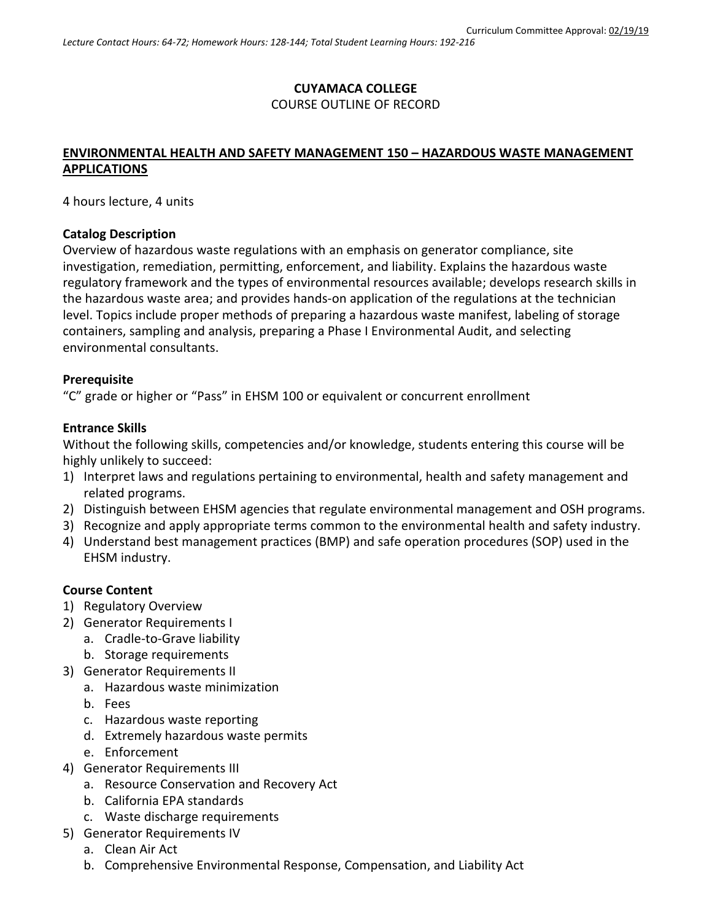# **CUYAMACA COLLEGE** COURSE OUTLINE OF RECORD

# **ENVIRONMENTAL HEALTH AND SAFETY MANAGEMENT 150 – HAZARDOUS WASTE MANAGEMENT APPLICATIONS**

4 hours lecture, 4 units

#### **Catalog Description**

Overview of hazardous waste regulations with an emphasis on generator compliance, site investigation, remediation, permitting, enforcement, and liability. Explains the hazardous waste regulatory framework and the types of environmental resources available; develops research skills in the hazardous waste area; and provides hands-on application of the regulations at the technician level. Topics include proper methods of preparing a hazardous waste manifest, labeling of storage containers, sampling and analysis, preparing a Phase I Environmental Audit, and selecting environmental consultants.

#### **Prerequisite**

"C" grade or higher or "Pass" in EHSM 100 or equivalent or concurrent enrollment

#### **Entrance Skills**

Without the following skills, competencies and/or knowledge, students entering this course will be highly unlikely to succeed:

- 1) Interpret laws and regulations pertaining to environmental, health and safety management and related programs.
- 2) Distinguish between EHSM agencies that regulate environmental management and OSH programs.
- 3) Recognize and apply appropriate terms common to the environmental health and safety industry.
- 4) Understand best management practices (BMP) and safe operation procedures (SOP) used in the EHSM industry.

## **Course Content**

- 1) Regulatory Overview
- 2) Generator Requirements I
	- a. Cradle-to-Grave liability
	- b. Storage requirements
- 3) Generator Requirements II
	- a. Hazardous waste minimization
	- b. Fees
	- c. Hazardous waste reporting
	- d. Extremely hazardous waste permits
	- e. Enforcement
- 4) Generator Requirements III
	- a. Resource Conservation and Recovery Act
	- b. California EPA standards
	- c. Waste discharge requirements
- 5) Generator Requirements IV
	- a. Clean Air Act
	- b. Comprehensive Environmental Response, Compensation, and Liability Act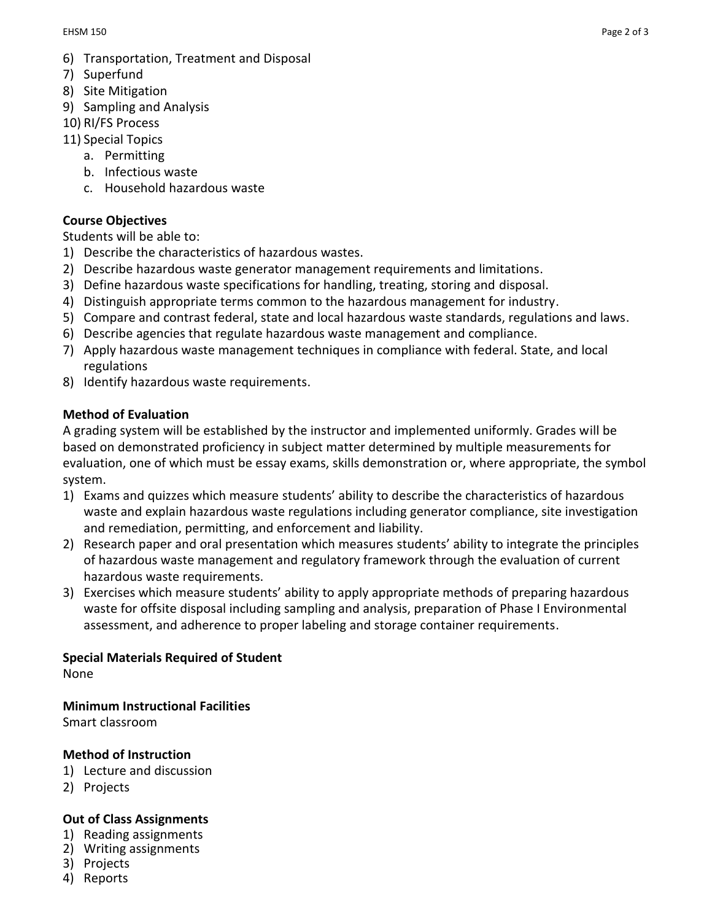- 6) Transportation, Treatment and Disposal
- 7) Superfund
- 8) Site Mitigation
- 9) Sampling and Analysis
- 10) RI/FS Process
- 11) Special Topics
	- a. Permitting
	- b. Infectious waste
	- c. Household hazardous waste

## **Course Objectives**

Students will be able to:

- 1) Describe the characteristics of hazardous wastes.
- 2) Describe hazardous waste generator management requirements and limitations.
- 3) Define hazardous waste specifications for handling, treating, storing and disposal.
- 4) Distinguish appropriate terms common to the hazardous management for industry.
- 5) Compare and contrast federal, state and local hazardous waste standards, regulations and laws.
- 6) Describe agencies that regulate hazardous waste management and compliance.
- 7) Apply hazardous waste management techniques in compliance with federal. State, and local regulations
- 8) Identify hazardous waste requirements.

# **Method of Evaluation**

A grading system will be established by the instructor and implemented uniformly. Grades will be based on demonstrated proficiency in subject matter determined by multiple measurements for evaluation, one of which must be essay exams, skills demonstration or, where appropriate, the symbol system.

- 1) Exams and quizzes which measure students' ability to describe the characteristics of hazardous waste and explain hazardous waste regulations including generator compliance, site investigation and remediation, permitting, and enforcement and liability.
- 2) Research paper and oral presentation which measures students' ability to integrate the principles of hazardous waste management and regulatory framework through the evaluation of current hazardous waste requirements.
- 3) Exercises which measure students' ability to apply appropriate methods of preparing hazardous waste for offsite disposal including sampling and analysis, preparation of Phase I Environmental assessment, and adherence to proper labeling and storage container requirements.

## **Special Materials Required of Student**

None

**Minimum Instructional Facilities**

Smart classroom

## **Method of Instruction**

- 1) Lecture and discussion
- 2) Projects

## **Out of Class Assignments**

- 1) Reading assignments
- 2) Writing assignments
- 3) Projects
- 4) Reports